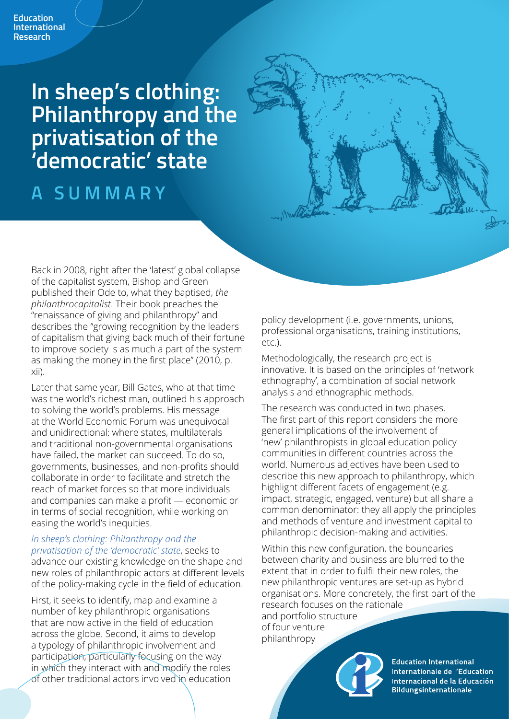**In sheep's clothing: Philanthropy and the privatisation of the 'democratic' state** 

## **A SUMMARY**

Back in 2008, right after the 'latest' global collapse of the capitalist system, Bishop and Green published their Ode to, what they baptised, *the philanthrocapitalist*. Their book preaches the "renaissance of giving and philanthropy" and describes the "growing recognition by the leaders of capitalism that giving back much of their fortune to improve society is as much a part of the system as making the money in the first place" (2010, p. xii).

Later that same year, Bill Gates, who at that time was the world's richest man, outlined his approach to solving the world's problems. His message at the World Economic Forum was unequivocal and unidirectional: where states, multilaterals and traditional non-governmental organisations have failed, the market can succeed. To do so, governments, businesses, and non-profits should collaborate in order to facilitate and stretch the reach of market forces so that more individuals and companies can make a profit — economic or in terms of social recognition, while working on easing the world's inequities.

### *In sheep's clothing: Philanthropy and the*

*privatisation of the 'democratic' state*, seeks to advance our existing knowledge on the shape and new roles of philanthropic actors at different levels of the policy-making cycle in the field of education.

First, it seeks to identify, map and examine a number of key philanthropic organisations that are now active in the field of education across the globe. Second, it aims to develop a typology of philanthropic involvement and participation, particularly focusing on the way in which they interact with and modify the roles of other traditional actors involved in education policy development (i.e. governments, unions, professional organisations, training institutions, etc.).

Methodologically, the research project is innovative. It is based on the principles of 'network ethnography', a combination of social network analysis and ethnographic methods.

The research was conducted in two phases. The first part of this report considers the more general implications of the involvement of 'new' philanthropists in global education policy communities in different countries across the world. Numerous adjectives have been used to describe this new approach to philanthropy, which highlight different facets of engagement (e.g. impact, strategic, engaged, venture) but all share a common denominator: they all apply the principles and methods of venture and investment capital to philanthropic decision-making and activities.

Within this new configuration, the boundaries between charity and business are blurred to the extent that in order to fulfil their new roles, the new philanthropic ventures are set-up as hybrid organisations. More concretely, the first part of the research focuses on the rationale

and portfolio structure of four venture philanthropy



**Education International** Internationale de l'Education Internacional de la Educación **Bildungsinternationale**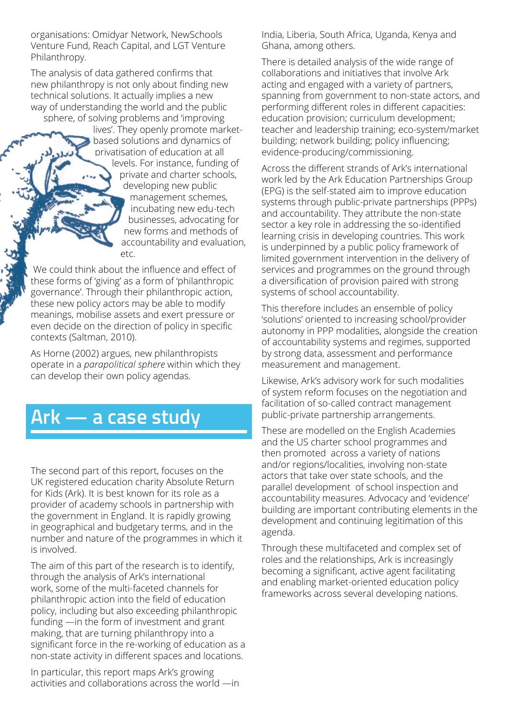organisations: Omidyar Network, NewSchools Venture Fund, Reach Capital, and LGT Venture Philanthropy.

The analysis of data gathered confirms that new philanthropy is not only about finding new technical solutions. It actually implies a new way of understanding the world and the public sphere, of solving problems and 'improving

lives'. They openly promote marketbased solutions and dynamics of privatisation of education at all levels. For instance, funding of private and charter schools, developing new public management schemes, incubating new edu-tech businesses, advocating for new forms and methods of accountability and evaluation, etc.

We could think about the influence and effect of these forms of 'giving' as a form of 'philanthropic governance'. Through their philanthropic action, these new policy actors may be able to modify meanings, mobilise assets and exert pressure or even decide on the direction of policy in specific contexts (Saltman, 2010).

As Horne (2002) argues, new philanthropists operate in a *parapolitical sphere* within which they can develop their own policy agendas.

# **Ark — a case study**

The second part of this report, focuses on the UK registered education charity Absolute Return for Kids (Ark). It is best known for its role as a provider of academy schools in partnership with the government in England. It is rapidly growing in geographical and budgetary terms, and in the number and nature of the programmes in which it is involved.

The aim of this part of the research is to identify, through the analysis of Ark's international work, some of the multi-faceted channels for philanthropic action into the field of education policy, including but also exceeding philanthropic funding —in the form of investment and grant making, that are turning philanthropy into a significant force in the re-working of education as a non-state activity in different spaces and locations.

In particular, this report maps Ark's growing activities and collaborations across the world —in India, Liberia, South Africa, Uganda, Kenya and Ghana, among others.

There is detailed analysis of the wide range of collaborations and initiatives that involve Ark acting and engaged with a variety of partners, spanning from government to non-state actors, and performing different roles in different capacities: education provision; curriculum development; teacher and leadership training; eco-system/market building; network building; policy influencing; evidence-producing/commissioning.

Across the different strands of Ark's international work led by the Ark Education Partnerships Group (EPG) is the self-stated aim to improve education systems through public-private partnerships (PPPs) and accountability. They attribute the non-state sector a key role in addressing the so-identified learning crisis in developing countries. This work is underpinned by a public policy framework of limited government intervention in the delivery of services and programmes on the ground through a diversification of provision paired with strong systems of school accountability.

This therefore includes an ensemble of policy 'solutions' oriented to increasing school/provider autonomy in PPP modalities, alongside the creation of accountability systems and regimes, supported by strong data, assessment and performance measurement and management.

Likewise, Ark's advisory work for such modalities of system reform focuses on the negotiation and facilitation of so-called contract management public-private partnership arrangements.

These are modelled on the English Academies and the US charter school programmes and then promoted across a variety of nations and/or regions/localities, involving non-state actors that take over state schools, and the parallel development of school inspection and accountability measures. Advocacy and 'evidence' building are important contributing elements in the development and continuing legitimation of this agenda.

Through these multifaceted and complex set of roles and the relationships, Ark is increasingly becoming a significant, active agent facilitating and enabling market-oriented education policy frameworks across several developing nations.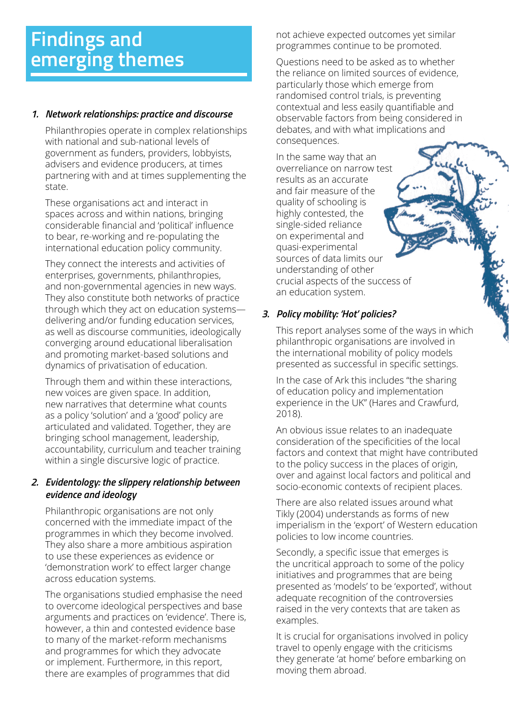# **Findings and emerging themes**

### *1. Network relationships: practice and discourse*

Philanthropies operate in complex relationships with national and sub-national levels of government as funders, providers, lobbyists, advisers and evidence producers, at times partnering with and at times supplementing the state.

These organisations act and interact in spaces across and within nations, bringing considerable financial and 'political' influence to bear, re-working and re-populating the international education policy community.

They connect the interests and activities of enterprises, governments, philanthropies, and non-governmental agencies in new ways. They also constitute both networks of practice through which they act on education systems delivering and/or funding education services, as well as discourse communities, ideologically converging around educational liberalisation and promoting market-based solutions and dynamics of privatisation of education.

Through them and within these interactions, new voices are given space. In addition, new narratives that determine what counts as a policy 'solution' and a 'good' policy are articulated and validated. Together, they are bringing school management, leadership, accountability, curriculum and teacher training within a single discursive logic of practice.

#### *2. Evidentology: the slippery relationship between evidence and ideology*

Philanthropic organisations are not only concerned with the immediate impact of the programmes in which they become involved. They also share a more ambitious aspiration to use these experiences as evidence or 'demonstration work' to effect larger change across education systems.

The organisations studied emphasise the need to overcome ideological perspectives and base arguments and practices on 'evidence'. There is, however, a thin and contested evidence base to many of the market-reform mechanisms and programmes for which they advocate or implement. Furthermore, in this report, there are examples of programmes that did

not achieve expected outcomes yet similar programmes continue to be promoted.

Questions need to be asked as to whether the reliance on limited sources of evidence, particularly those which emerge from randomised control trials, is preventing contextual and less easily quantifiable and observable factors from being considered in debates, and with what implications and consequences.

In the same way that an overreliance on narrow test results as an accurate and fair measure of the quality of schooling is highly contested, the single-sided reliance on experimental and quasi-experimental sources of data limits our understanding of other crucial aspects of the success of an education system.

### *3. Policy mobility: 'Hot' policies?*

This report analyses some of the ways in which philanthropic organisations are involved in the international mobility of policy models presented as successful in specific settings.

In the case of Ark this includes "the sharing of education policy and implementation experience in the UK" (Hares and Crawfurd, 2018).

An obvious issue relates to an inadequate consideration of the specificities of the local factors and context that might have contributed to the policy success in the places of origin, over and against local factors and political and socio-economic contexts of recipient places.

There are also related issues around what Tikly (2004) understands as forms of new imperialism in the 'export' of Western education policies to low income countries.

Secondly, a specific issue that emerges is the uncritical approach to some of the policy initiatives and programmes that are being presented as 'models' to be 'exported', without adequate recognition of the controversies raised in the very contexts that are taken as examples.

It is crucial for organisations involved in policy travel to openly engage with the criticisms they generate 'at home' before embarking on moving them abroad.